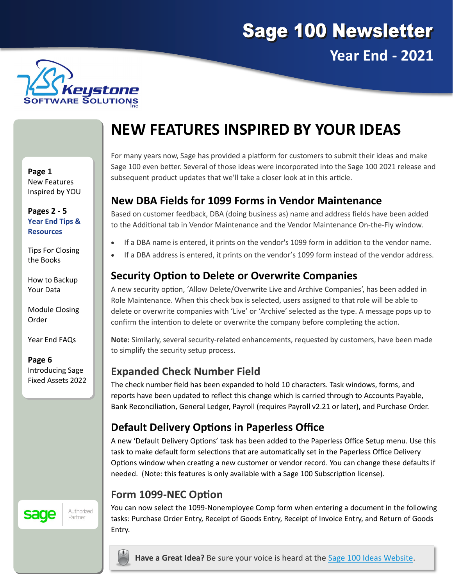



# **NEW FEATURES INSPIRED BY YOUR IDEAS**

**Page 1** New Features Inspired by YOU

**Pages 2 - 5 Year End Tips & Resources**

Tips For Closing the Books

How to Backup Your Data

Module Closing Order

Year End FAQs

**Page 6** Introducing Sage Fixed Assets 2022

#### Authorized sage Partner

For many years now, Sage has provided a platform for customers to submit their ideas and make Sage 100 even better. Several of those ideas were incorporated into the Sage 100 2021 release and subsequent product updates that we'll take a closer look at in this article.

### **New DBA Fields for 1099 Forms in Vendor Maintenance**

Based on customer feedback, DBA (doing business as) name and address fields have been added to the Additional tab in Vendor Maintenance and the Vendor Maintenance On-the-Fly window.

- If a DBA name is entered, it prints on the vendor's 1099 form in addition to the vendor name.
- If a DBA address is entered, it prints on the vendor's 1099 form instead of the vendor address.

### **Security Option to Delete or Overwrite Companies**

A new security option, 'Allow Delete/Overwrite Live and Archive Companies', has been added in Role Maintenance. When this check box is selected, users assigned to that role will be able to delete or overwrite companies with 'Live' or 'Archive' selected as the type. A message pops up to confirm the intention to delete or overwrite the company before completing the action.

**Note:** Similarly, several security-related enhancements, requested by customers, have been made to simplify the security setup process.

### **Expanded Check Number Field**

The check number field has been expanded to hold 10 characters. Task windows, forms, and reports have been updated to reflect this change which is carried through to Accounts Payable, Bank Reconciliation, General Ledger, Payroll (requires Payroll v2.21 or later), and Purchase Order.

### **Default Delivery Options in Paperless Office**

A new 'Default Delivery Options' task has been added to the Paperless Office Setup menu. Use this task to make default form selections that are automatically set in the Paperless Office Delivery Options window when creating a new customer or vendor record. You can change these defaults if needed. (Note: this features is only available with a Sage 100 Subscription license).

### **Form 1099-NEC Option**

You can now select the 1099-Nonemployee Comp form when entering a document in the following tasks: Purchase Order Entry, Receipt of Goods Entry, Receipt of Invoice Entry, and Return of Goods Entry.

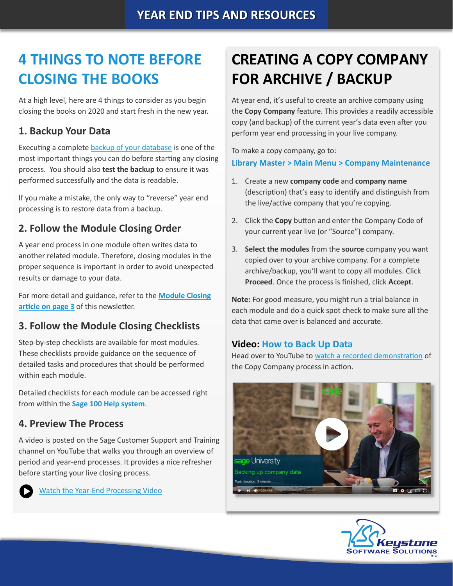# <span id="page-1-0"></span>**4 THINGS TO NOTE BEFORE CLOSING THE BOOKS**

At a high level, here are 4 things to consider as you begin closing the books on 2020 and start fresh in the new year.

#### **1. Backup Your Data**

Executing a complete [backup of your database](https://support.na.sage.com/selfservice/viewContent.do;jsessionid=55388B45719F45B498E2EA2AB9AC91DB.worker1g?externalId=20262&sliceId=1) is one of the most important things you can do before starting any closing process. You should also **test the backup** to ensure it was performed successfully and the data is readable.

If you make a mistake, the only way to "reverse" year end processing is to restore data from a backup.

### **2. Follow the Module Closing Order**

A year end process in one module often writes data to another related module. Therefore, closing modules in the proper sequence is important in order to avoid unexpected results or damage to your data.

For more detail and guidance, refer to the **[Module Closing](#page-2-0)  [article on page 3](#page-2-0)** of this newsletter.

### **3. Follow the Module Closing Checklists**

Step-by-step checklists are available for most modules. These checklists provide guidance on the sequence of detailed tasks and procedures that should be performed within each module.

Detailed checklists for each module can be accessed right from within the **Sage 100 Help system**.

#### **4. Preview The Process**

A video is posted on the Sage Customer Support and Training channel on YouTube that walks you through an overview of period and year-end processes. It provides a nice refresher before starting your live closing process.

Watch the Year-[End Processing Video](https://www.youtube.com/watch?v=i4AaznA1T6k)

# **CREATING A COPY COMPANY FOR ARCHIVE / BACKUP**

At year end, it's useful to create an archive company using the **Copy Company** feature. This provides a readily accessible copy (and backup) of the current year's data even after you perform year end processing in your live company.

To make a copy company, go to: **Library Master > Main Menu > Company Maintenance** 

- 1. Create a new **company code** and **company name** (description) that's easy to identify and distinguish from the live/active company that you're copying.
- 2. Click the **Copy** button and enter the Company Code of your current year live (or "Source") company.
- 3. **Select the modules** from the **source** company you want copied over to your archive company. For a complete archive/backup, you'll want to copy all modules. Click **Proceed**. Once the process is finished, click **Accept**.

**Note:** For good measure, you might run a trial balance in each module and do a quick spot check to make sure all the data that came over is balanced and accurate.

#### **Video: How to Back Up Data**

Head over to YouTube to [watch a recorded demonstration](https://youtu.be/f_lefv3yrv4) of the Copy Company process in action.



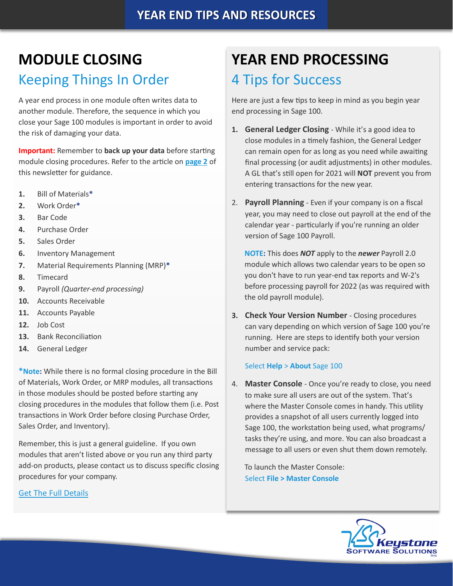# <span id="page-2-0"></span>**MODULE CLOSING**

## Keeping Things In Order

A year end process in one module often writes data to another module. Therefore, the sequence in which you close your Sage 100 modules is important in order to avoid the risk of damaging your data.

**Important:** Remember to **back up your data** before starting module closing procedures. Refer to the article on **[page 2](#page-1-0)** of this newsletter for guidance.

- **1.** Bill of Materials**\***
- **2.** Work Order**\***
- **3.** Bar Code
- **4.** Purchase Order
- **5.** Sales Order
- **6.** Inventory Management
- **7.** Material Requirements Planning (MRP)**\***
- **8.** Timecard
- **9.** Payroll *(Quarter-end processing)*
- **10.** Accounts Receivable
- **11.** Accounts Payable
- **12.** Job Cost
- **13.** Bank Reconciliation
- **14.** General Ledger

**\*Note:** While there is no formal closing procedure in the Bill of Materials, Work Order, or MRP modules, all transactions in those modules should be posted before starting any closing procedures in the modules that follow them (i.e. Post transactions in Work Order before closing Purchase Order, Sales Order, and Inventory).

Remember, this is just a general guideline. If you own modules that aren't listed above or you run any third party add-on products, please contact us to discuss specific closing procedures for your company.

#### [Get The Full Details](https://support.na.sage.com/selfservice/viewContent.do?externalId=19506&sliceId=1)

# **YEAR END PROCESSING**

## 4 Tips for Success

Here are just a few tips to keep in mind as you begin year end processing in Sage 100.

- **1. General Ledger Closing** While it's a good idea to close modules in a timely fashion, the General Ledger can remain open for as long as you need while awaiting final processing (or audit adjustments) in other modules. A GL that's still open for 2021 will **NOT** prevent you from entering transactions for the new year.
- 2. **Payroll Planning** Even if your company is on a fiscal year, you may need to close out payroll at the end of the calendar year - particularly if you're running an older version of Sage 100 Payroll.

**NOTE:** This does *NOT* apply to the *newer* Payroll 2.0 module which allows two calendar years to be open so you don't have to run year-end tax reports and W-2's before processing payroll for 2022 (as was required with the old payroll module).

**3. Check Your Version Number** - Closing procedures can vary depending on which version of Sage 100 you're running. Here are steps to identify both your version number and service pack:

#### Select **Help** > **About** Sage 100

4. **Master Console** - Once you're ready to close, you need to make sure all users are out of the system. That's where the Master Console comes in handy. This utility provides a snapshot of all users currently logged into Sage 100, the workstation being used, what programs/ tasks they're using, and more. You can also broadcast a message to all users or even shut them down remotely.

To launch the Master Console: Select **File > Master Console**

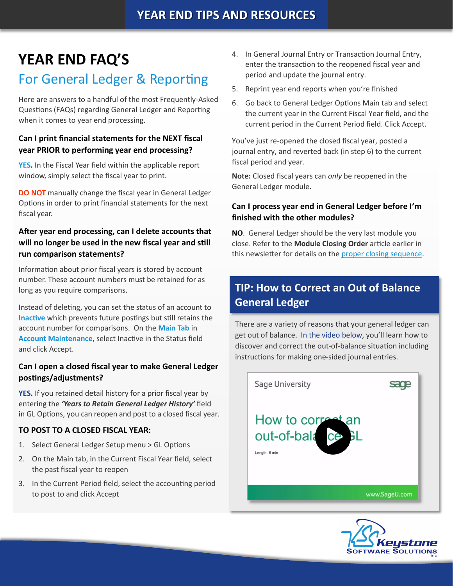# **YEAR END FAQ'S**

### For General Ledger & Reporting

Here are answers to a handful of the most Frequently-Asked Questions (FAQs) regarding General Ledger and Reporting when it comes to year end processing.

#### **Can I print financial statements for the NEXT fiscal year PRIOR to performing year end processing?**

**YES.** In the Fiscal Year field within the applicable report window, simply select the fiscal year to print.

**DO NOT** manually change the fiscal year in General Ledger Options in order to print financial statements for the next fiscal year.

#### **After year end processing, can I delete accounts that will no longer be used in the new fiscal year and still run comparison statements?**

Information about prior fiscal years is stored by account number. These account numbers must be retained for as long as you require comparisons.

Instead of deleting, you can set the status of an account to **Inactive** which prevents future postings but still retains the account number for comparisons. On the **Main Tab** in **Account Maintenance**, select Inactive in the Status field and click Accept.

#### **Can I open a closed fiscal year to make General Ledger postings/adjustments?**

**YES.** If you retained detail history for a prior fiscal year by entering the *'Years to Retain General Ledger History'* field in GL Options, you can reopen and post to a closed fiscal year.

#### **TO POST TO A CLOSED FISCAL YEAR:**

- 1. Select General Ledger Setup menu > GL Options
- 2. On the Main tab, in the Current Fiscal Year field, select the past fiscal year to reopen
- 3. In the Current Period field, select the accounting period to post to and click Accept
- 4. In General Journal Entry or Transaction Journal Entry, enter the transaction to the reopened fiscal year and period and update the journal entry.
- 5. Reprint year end reports when you're finished
- 6. Go back to General Ledger Options Main tab and select the current year in the Current Fiscal Year field, and the current period in the Current Period field. Click Accept.

You've just re-opened the closed fiscal year, posted a journal entry, and reverted back (in step 6) to the current fiscal period and year.

**Note:** Closed fiscal years can *only* be reopened in the General Ledger module.

#### **Can I process year end in General Ledger before I'm finished with the other modules?**

**NO**. General Ledger should be the very last module you close. Refer to the **Module Closing Order** article earlier in this newsletter for details on the [proper closing sequence.](#page-2-0)

### **TIP: How to Correct an Out of Balance General Ledger**

There are a variety of reasons that your general ledger can get out of balance. [In the video below,](https://www.youtube.com/watch?v=CveZMS2Oqm0) you'll learn how to discover and correct the out-of-balance situation including instructions for making one-sided journal entries.



![](_page_3_Picture_26.jpeg)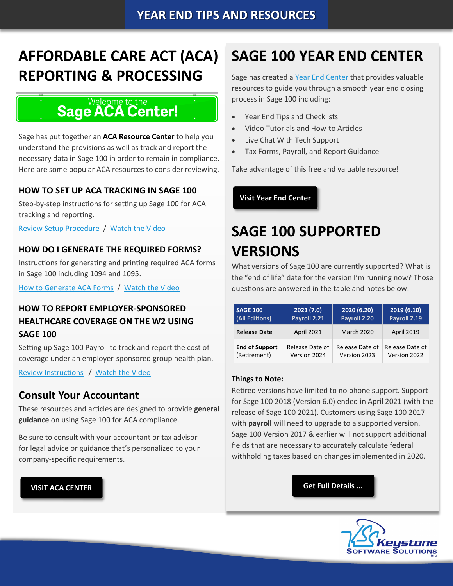# **AFFORDABLE CARE ACT (ACA) REPORTING & PROCESSING**

#### Welcome to the **Sage ACA Center!**

Sage has put together an **ACA Resource Center** to help you understand the provisions as well as track and report the necessary data in Sage 100 in order to remain in compliance. Here are some popular ACA resources to consider reviewing.

#### **HOW TO SET UP ACA TRACKING IN SAGE 100**

Step-by-step instructions for setting up Sage 100 for ACA tracking and reporting.

[Review Setup Procedure](https://support.na.sage.com/selfservice/viewdocument.do?noCount=true&externalId=62495&sliceId=1&dialogID=84243&cmd=displayKC&docType=kc&noCount=true&stateId=84244&isLoadPublishedVer=&docTypeID=DT_Article&ViewedDocsListHelper=com.kanisa.apps.common.BaseView) / [Watch the Video](https://youtu.be/G0Ei6vAKUgA)

#### **HOW DO I GENERATE THE REQUIRED FORMS?**

Instructions for generating and printing required ACA forms in Sage 100 including 1094 and 1095.

[How to Generate ACA Forms](https://support.na.sage.com/selfservice/viewdocument.do?noCount=true&externalId=71048&sliceId=1&dialogID=84243&cmd=displayKC&docType=kc&noCount=true&stateId=84244&isLoadPublishedVer=&docTypeID=DT_Article&ViewedDocsListHelper=com.kanisa.apps.common.) / [Watch the Video](https://youtu.be/ziVCJIjo5iY)

#### **HOW TO REPORT EMPLOYER-SPONSORED HEALTHCARE COVERAGE ON THE W2 USING SAGE 100**

Setting up Sage 100 Payroll to track and report the cost of coverage under an employer-sponsored group health plan.

[Review Instructions](https://support.na.sage.com/selfservice/viewdocument.do?noCount=true&externalId=19289&sliceId=1&cmd=&ViewedDocsListHelper=com.kanisa.apps.common.BaseViewedDocsListHelperImpl)/ [Watch the Video](https://youtu.be/ybh-mS67rU4)

#### **Consult Your Accountant**

These resources and articles are designed to provide **general guidance** on using Sage 100 for ACA compliance.

Be sure to consult with your accountant or tax advisor for legal advice or guidance that's personalized to your company-specific requirements.

# **SAGE 100 YEAR END CENTER**

Sage has created a [Year End Center](https://sagecity.na.sage.com/support_communities/sage100_erp/sage100-yearend) that provides valuable resources to guide you through a smooth year end closing process in Sage 100 including:

- Year End Tips and Checklists
- Video Tutorials and How-to Articles
- Live Chat With Tech Support
- Tax Forms, Payroll, and Report Guidance

Take advantage of this free and valuable resource!

**[Visit Year End Center](https://www.sagecity.com/support_communities/sage100_erp/sage100-yearend)**

# **SAGE 100 SUPPORTED VERSIONS**

What versions of Sage 100 are currently supported? What is the "end of life" date for the version I'm running now? Those questions are answered in the table and notes below:

| <b>SAGE 100</b>       | 2021(7.0)         | 2020 (6.20)       | 2019 (6.10)       |  |  |
|-----------------------|-------------------|-------------------|-------------------|--|--|
| <b>(All Editions)</b> | Payroll 2.21      | Payroll 2.20      | Payroll 2.19      |  |  |
| <b>Release Date</b>   | <b>April 2021</b> | <b>March 2020</b> | <b>April 2019</b> |  |  |
| <b>End of Support</b> | Release Date of   | Release Date of   | Release Date of   |  |  |
| (Retirement)          | Version 2024      | Version 2023      | Version 2022      |  |  |

#### **Things to Note:**

Retired versions have limited to no phone support. Support for Sage 100 2018 (Version 6.0) ended in April 2021 (with the release of Sage 100 2021). Customers using Sage 100 2017 with **payroll** will need to upgrade to a supported version. Sage 100 Version 2017 & earlier will not support additional fields that are necessary to accurately calculate federal withholding taxes based on changes implemented in 2020.

**[VISIT ACA CENTER](https://www.sagecity.com/p/aca) [Get Full Details ...](https://support.na.sage.com/selfservice/viewContent.do?externalId=31477&sliceId=1)**

![](_page_4_Picture_31.jpeg)